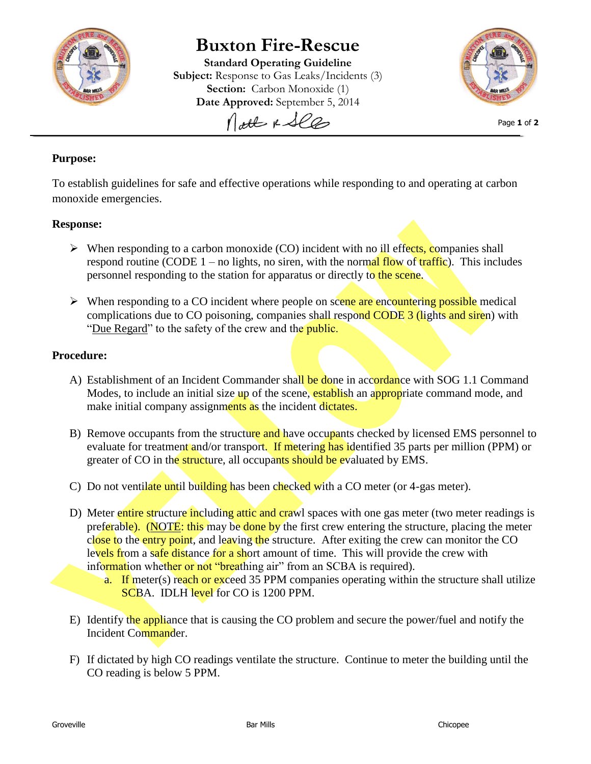

# **Buxton Fire-Rescue**

**Standard Operating Guideline Subject:** Response to Gas Leaks/Incidents (3) **Section:** Carbon Monoxide (1) **Date Approved:** September 5, 2014 Nott & See



Page **1** of **2**

## **Purpose:**

To establish guidelines for safe and effective operations while responding to and operating at carbon monoxide emergencies.

## **Response:**

- $\triangleright$  When responding to a carbon monoxide (CO) incident with no ill effects, companies shall respond routine (CODE  $1$  – no lights, no siren, with the normal flow of traffic). This includes personnel responding to the station for apparatus or directly to the scene.
- $\triangleright$  When responding to a CO incident where people on scene are encountering possible medical complications due to CO poisoning, companies shall respond CODE 3 (lights and siren) with "Due Regard" to the safety of the crew and the *public*.

## **Procedure:**

- A) Establishment of an Incident Commander shall be done in accordance with SOG 1.1 Command Modes, to include an initial size up of the scene, establish an appropriate command mode, and make initial company assignments as the incident dictates.
- B) Remove occupants from the structure and have occupants checked by licensed EMS personnel to evaluate for treatment and/or transport. If metering has identified 35 parts per million (PPM) or greater of CO in the structure, all occupants should be evaluated by EMS.
- C) Do not ventilate until building has been checked with a CO meter (or 4-gas meter).
- D) Meter entire structure including attic and crawl spaces with one gas meter (two meter readings is preferable). (NOTE: this may be done by the first crew entering the structure, placing the meter close to the entry point, and leaving the structure. After exiting the crew can monitor the CO levels from a safe distance for a short amount of time. This will provide the crew with information whether or not "breathing air" from an SCBA is required).
	- a. If meter(s) reach or exceed 35 PPM companies operating within the structure shall utilize SCBA. IDLH level for CO is 1200 PPM.
- E) Identify the appliance that is causing the CO problem and secure the power/fuel and notify the Incident Commander.
- F) If dictated by high CO readings ventilate the structure. Continue to meter the building until the CO reading is below 5 PPM.